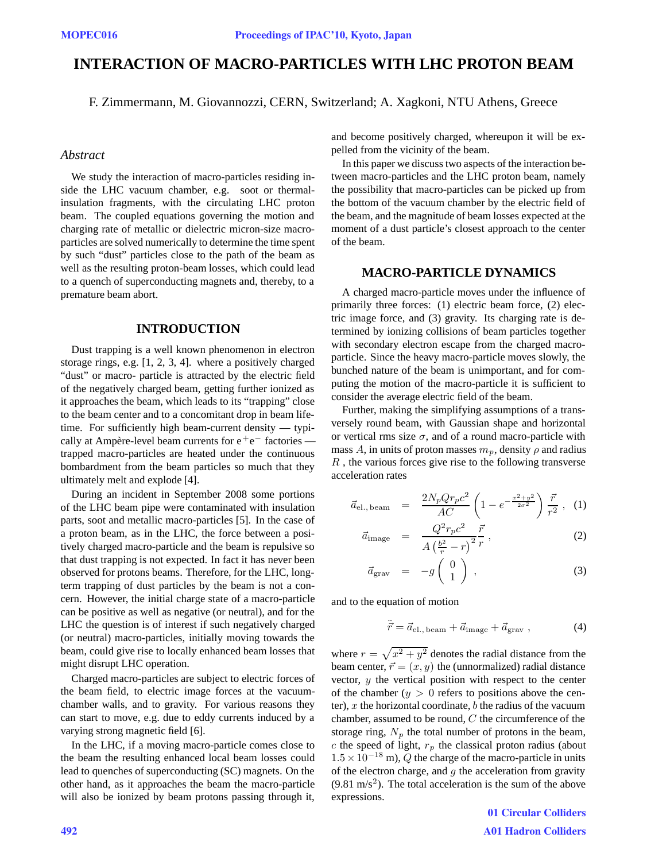# **INTERACTION OF MACRO-PARTICLES WITH LHC PROTON BEAM**

F. Zimmermann, M. Giovannozzi, CERN, Switzerland; A. Xagkoni, NTU Athens, Greece

## *Abstract*

We study the interaction of macro-particles residing inside the LHC vacuum chamber, e.g. soot or thermalinsulation fragments, with the circulating LHC proton beam. The coupled equations governing the motion and charging rate of metallic or dielectric micron-size macroparticles are solved numerically to determine the time spent by such "dust" particles close to the path of the beam as well as the resulting proton-beam losses, which could lead to a quench of superconducting magnets and, thereby, to a premature beam abort.

## **INTRODUCTION**

Dust trapping is a well known phenomenon in electron storage rings, e.g. [1, 2, 3, 4]. where a positively charged "dust" or macro- particle is attracted by the electric field of the negatively charged beam, getting further ionized as it approaches the beam, which leads to its "trapping" close to the beam center and to a concomitant drop in beam lifetime. For sufficiently high beam-current density — typically at Ampère-level beam currents for e<sup>+</sup>e<sup>−</sup> factories trapped macro-particles are heated under the continuous bombardment from the beam particles so much that they ultimately melt and explode [4].

During an incident in September 2008 some portions of the LHC beam pipe were contaminated with insulation parts, soot and metallic macro-particles [5]. In the case of a proton beam, as in the LHC, the force between a positively charged macro-particle and the beam is repulsive so that dust trapping is not expected. In fact it has never been observed for protons beams. Therefore, for the LHC, longterm trapping of dust particles by the beam is not a concern. However, the initial charge state of a macro-particle can be positive as well as negative (or neutral), and for the LHC the question is of interest if such negatively charged (or neutral) macro-particles, initially moving towards the beam, could give rise to locally enhanced beam losses that might disrupt LHC operation.

Charged macro-particles are subject to electric forces of the beam field, to electric image forces at the vacuumchamber walls, and to gravity. For various reasons they can start to move, e.g. due to eddy currents induced by a varying strong magnetic field [6].

In the LHC, if a moving macro-particle comes close to the beam the resulting enhanced local beam losses could lead to quenches of superconducting (SC) magnets. On the other hand, as it approaches the beam the macro-particle will also be ionized by beam protons passing through it,

and become positively charged, whereupon it will be expelled from the vicinity of the beam.

In this paper we discuss two aspects of the interaction between macro-particles and the LHC proton beam, namely the possibility that macro-particles can be picked up from the bottom of the vacuum chamber by the electric field of the beam, and the magnitude of beam losses expected at the moment of a dust particle's closest approach to the center of the beam.

### **MACRO-PARTICLE DYNAMICS**

A charged macro-particle moves under the influence of primarily three forces: (1) electric beam force, (2) electric image force, and (3) gravity. Its charging rate is determined by ionizing collisions of beam particles together with secondary electron escape from the charged macroparticle. Since the heavy macro-particle moves slowly, the bunched nature of the beam is unimportant, and for computing the motion of the macro-particle it is sufficient to consider the average electric field of the beam.

Further, making the simplifying assumptions of a transversely round beam, with Gaussian shape and horizontal or vertical rms size  $\sigma$ , and of a round macro-particle with mass A, in units of proton masses  $m_p$ , density  $\rho$  and radius  $R$ , the various forces give rise to the following transverse acceleration rates

$$
\vec{a}_{\text{el., beam}} = \frac{2N_p Q r_p c^2}{AC} \left( 1 - e^{-\frac{x^2 + y^2}{2\sigma^2}} \right) \frac{\vec{r}}{r^2} , \quad (1)
$$

$$
\vec{a}_{\text{image}} = \frac{Q^2 r_p c^2}{A \left(\frac{b^2}{r} - r\right)^2} \frac{\vec{r}}{r},\tag{2}
$$

$$
\vec{a}_{\text{grav}} = -g \begin{pmatrix} 0 \\ 1 \end{pmatrix} , \qquad (3)
$$

and to the equation of motion

$$
\vec{r} = \vec{a}_{\text{el., beam}} + \vec{a}_{\text{image}} + \vec{a}_{\text{grav}} \,, \tag{4}
$$

where  $r = \sqrt{x^2 + y^2}$  denotes the radial distance from the beam center,  $\vec{r} = (x, y)$  the (unnormalized) radial distance vector,  $y$  the vertical position with respect to the center of the chamber  $(y > 0$  refers to positions above the center),  $x$  the horizontal coordinate,  $b$  the radius of the vacuum chamber, assumed to be round, C the circumference of the storage ring,  $N_p$  the total number of protons in the beam, c the speed of light,  $r_p$  the classical proton radius (about <sup>1</sup>.5×10*<sup>−</sup>*<sup>18</sup> m), Q the charge of the macro-particle in units of the electron charge, and  $q$  the acceleration from gravity  $(9.81 \text{ m/s}^2)$ . The total acceleration is the sum of the above expressions.

> 01 Circular Colliders A01 Hadron Colliders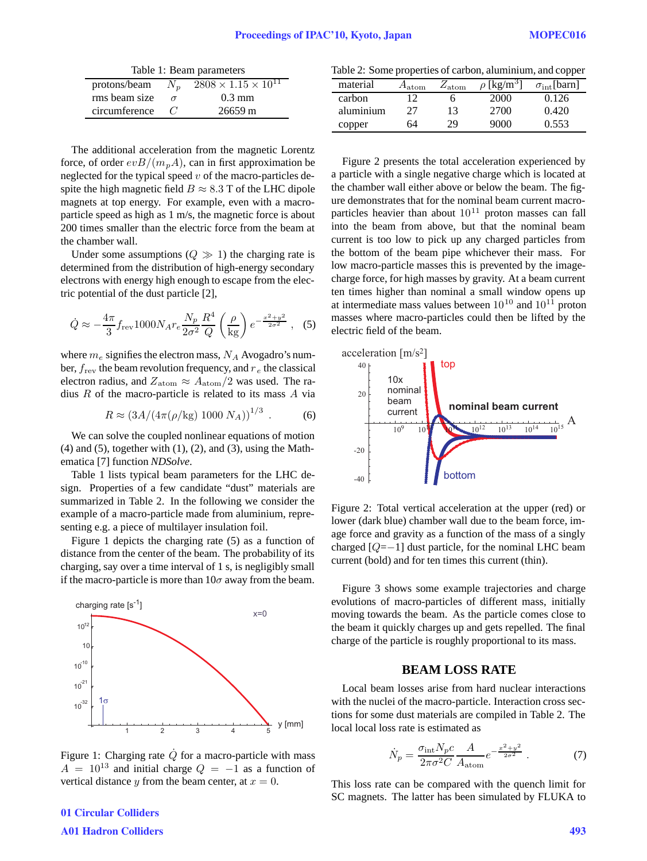| Table 1: Beam parameters |            |                                   |  |  |  |
|--------------------------|------------|-----------------------------------|--|--|--|
| protons/beam $N_n$       |            | $2808 \times 1.15 \times 10^{11}$ |  |  |  |
| rms beam size            | $\sigma$   | $0.3 \text{ mm}$                  |  |  |  |
| circumference            | $\epsilon$ | $26659 \text{ m}$                 |  |  |  |
|                          |            |                                   |  |  |  |

The additional acceleration from the magnetic Lorentz force, of order  $evB/(m_pA)$ , can in first approximation be neglected for the typical speed  $v$  of the macro-particles despite the high magnetic field  $B \approx 8.3$  T of the LHC dipole magnets at top energy. For example, even with a macroparticle speed as high as 1 m/s, the magnetic force is about 200 times smaller than the electric force from the beam at the chamber wall.

Under some assumptions  $(Q \gg 1)$  the charging rate is determined from the distribution of high-energy secondary electrons with energy high enough to escape from the electric potential of the dust particle [2],

$$
\dot{Q} \approx -\frac{4\pi}{3} f_{\text{rev}} 1000 N_A r_e \frac{N_p}{2\sigma^2} \frac{R^4}{Q} \left(\frac{\rho}{\text{kg}}\right) e^{-\frac{x^2 + y^2}{2\sigma^2}}, \quad (5)
$$

where <sup>m</sup>*<sup>e</sup>* signifies the electron mass, <sup>N</sup>*<sup>A</sup>* Avogadro's number, <sup>f</sup>rev the beam revolution frequency, and <sup>r</sup> *<sup>e</sup>* the classical electron radius, and  $Z_{\text{atom}} \approx A_{\text{atom}}/2$  was used. The radius  $R$  of the macro-particle is related to its mass  $A$  via

$$
R \approx (3A/(4\pi(\rho/\text{kg})\ 1000\ N_A))^{1/3} \ . \tag{6}
$$

We can solve the coupled nonlinear equations of motion  $(4)$  and  $(5)$ , together with  $(1)$ ,  $(2)$ , and  $(3)$ , using the Mathematica [7] function *NDSolve*.

Table 1 lists typical beam parameters for the LHC design. Properties of a few candidate "dust" materials are summarized in Table 2. In the following we consider the example of a macro-particle made from aluminium, representing e.g. a piece of multilayer insulation foil.

Figure 1 depicts the charging rate (5) as a function of distance from the center of the beam. The probability of its charging, say over a time interval of 1 s, is negligibly small if the macro-particle is more than  $10\sigma$  away from the beam.



Figure 1: Charging rate  $\dot{Q}$  for a macro-particle with mass  $A = 10^{13}$  and initial charge  $Q = -1$  as a function of vertical distance y from the beam center, at  $x = 0$ .

Table 2: Some properties of carbon, aluminium, and copper

| material  | $\mathtt{a}_{\mathrm{atom}}$ | $\omega_{\rm atom}$ | $[kg/m^3]$ | $\sigma_{\rm int}$ [barn] |
|-----------|------------------------------|---------------------|------------|---------------------------|
| carbon    | 12                           | n                   | 2000       | 0.126                     |
| aluminium | 27                           | 13                  | 2700       | 0.420                     |
| copper    | 64                           | 29                  | 9000       | 0.553                     |

Figure 2 presents the total acceleration experienced by a particle with a single negative charge which is located at the chamber wall either above or below the beam. The figure demonstrates that for the nominal beam current macroparticles heavier than about  $10^{11}$  proton masses can fall into the beam from above, but that the nominal beam current is too low to pick up any charged particles from the bottom of the beam pipe whichever their mass. For low macro-particle masses this is prevented by the imagecharge force, for high masses by gravity. At a beam current ten times higher than nominal a small window opens up at intermediate mass values between  $10^{10}$  and  $10^{11}$  proton masses where macro-particles could then be lifted by the electric field of the beam.



Figure 2: Total vertical acceleration at the upper (red) or lower (dark blue) chamber wall due to the beam force, image force and gravity as a function of the mass of a singly charged  $[Q=-1]$  dust particle, for the nominal LHC beam current (bold) and for ten times this current (thin).

Figure 3 shows some example trajectories and charge evolutions of macro-particles of different mass, initially moving towards the beam. As the particle comes close to the beam it quickly charges up and gets repelled. The final charge of the particle is roughly proportional to its mass.

## **BEAM LOSS RATE**

Local beam losses arise from hard nuclear interactions with the nuclei of the macro-particle. Interaction cross sections for some dust materials are compiled in Table 2. The local local loss rate is estimated as

$$
\dot{N}_p = \frac{\sigma_{\text{int}} N_p c}{2\pi\sigma^2 C} \frac{A}{A_{\text{atom}}} e^{-\frac{x^2 + y^2}{2\sigma^2}} \,. \tag{7}
$$

This loss rate can be compared with the quench limit for SC magnets. The latter has been simulated by FLUKA to

01 Circular Colliders A01 Hadron Colliders 493